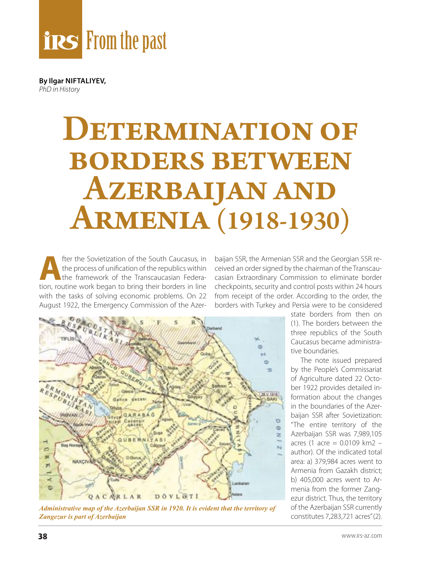

**By Ilgar NIFTALIYEV,** *PhD in History*

## DETERMINATION OF borders between Azerbaijan and Armenia (1918-1930)

**Algebraich Sovietization of the South Caucasus, in<br>the process of unification of the republics within<br>the framework of the Transcaucasian Federa-<br>tion routine work began to bring their borders in line** the process of unification of the republics within the framework of the Transcaucasian Federation, routine work began to bring their borders in line with the tasks of solving economic problems. On 22 August 1922, the Emergency Commission of the Azer-

baijan SSR, the Armenian SSR and the Georgian SSR received an order signed by the chairman of the Transcaucasian Extraordinary Commission to eliminate border checkpoints, security and control posts within 24 hours from receipt of the order. According to the order, the borders with Turkey and Persia were to be considered



*Administrative map of the Azerbaijan SSR in 1920. It is evident that the territory of Zangezur is part of Azerbaijan*

state borders from then on (1). The borders between the three republics of the South Caucasus became administrative boundaries.

The note issued prepared by the People's Commissariat of Agriculture dated 22 October 1922 provides detailed information about the changes in the boundaries of the Azerbaijan SSR after Sovietization: "The entire territory of the Azerbaijan SSR was 7,989,105 acres (1 acre = 0.0109 km2 – author). Of the indicated total area: a) 379,984 acres went to Armenia from Gazakh district; b) 405,000 acres went to Armenia from the former Zangezur district. Thus, the territory of the Azerbaijan SSR currently constitutes 7,283,721 acres" (2).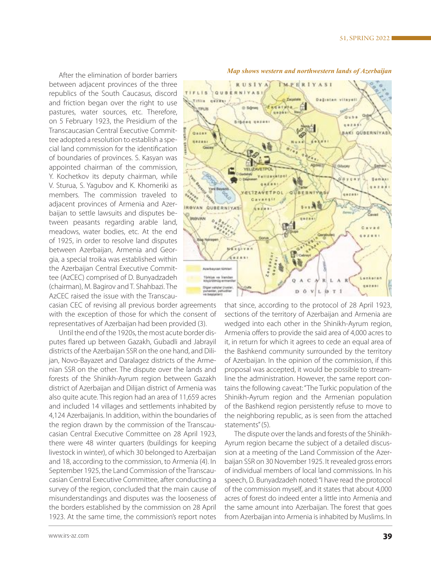After the elimination of border barriers between adjacent provinces of the three republics of the South Caucasus, discord and friction began over the right to use pastures, water sources, etc. Therefore, on 5 February 1923, the Presidium of the Transcaucasian Central Executive Committee adopted a resolution to establish a special land commission for the identification of boundaries of provinces. S. Kasyan was appointed chairman of the commission, Y. Kochetkov its deputy chairman, while V. Sturua, S. Yagubov and K. Khomeriki as members. The commission traveled to adjacent provinces of Armenia and Azerbaijan to settle lawsuits and disputes between peasants regarding arable land, meadows, water bodies, etc. At the end of 1925, in order to resolve land disputes between Azerbaijan, Armenia and Georgia, a special troika was established within the Azerbaijan Central Executive Committee (AzCEC) comprised of D. Bunyadzadeh (chairman), M. Bagirov and T. Shahbazi. The AzCEC raised the issue with the Transcau-

casian CEC of revising all previous border agreements with the exception of those for which the consent of representatives of Azerbaijan had been provided (3).

Until the end of the 1920s, the most acute border disputes flared up between Gazakh, Gubadli and Jabrayil districts of the Azerbaijan SSR on the one hand, and Dilijan, Novo-Bayazet and Daralagez districts of the Armenian SSR on the other. The dispute over the lands and forests of the Shinikh-Ayrum region between Gazakh district of Azerbaijan and Dilijan district of Armenia was also quite acute. This region had an area of 11,659 acres and included 14 villages and settlements inhabited by 4,124 Azerbaijanis. In addition, within the boundaries of the region drawn by the commission of the Transcaucasian Central Executive Committee on 28 April 1923, there were 48 winter quarters (buildings for keeping livestock in winter), of which 30 belonged to Azerbaijan and 18, according to the commission, to Armenia (4). In September 1925, the Land Commission of the Transcaucasian Central Executive Committee, after conducting a survey of the region, concluded that the main cause of misunderstandings and disputes was the looseness of the borders established by the commission on 28 April 1923. At the same time, the commission's report notes



*Map shows western and northwestern lands of Azerbaijan*

that since, according to the protocol of 28 April 1923, sections of the territory of Azerbaijan and Armenia are wedged into each other in the Shinikh-Ayrum region, Armenia offers to provide the said area of 4,000 acres to it, in return for which it agrees to cede an equal area of the Bashkend community surrounded by the territory of Azerbaijan. In the opinion of the commission, if this proposal was accepted, it would be possible to streamline the administration. However, the same report contains the following caveat: "The Turkic population of the Shinikh-Ayrum region and the Armenian population of the Bashkend region persistently refuse to move to the neighboring republic, as is seen from the attached statements" (5).

The dispute over the lands and forests of the Shinikh-Ayrum region became the subject of a detailed discussion at a meeting of the Land Commission of the Azerbaijan SSR on 30 November 1925. It revealed gross errors of individual members of local land commissions. In his speech, D. Bunyadzadeh noted: "I have read the protocol of the commission myself, and it states that about 4,000 acres of forest do indeed enter a little into Armenia and the same amount into Azerbaijan. The forest that goes from Azerbaijan into Armenia is inhabited by Muslims. In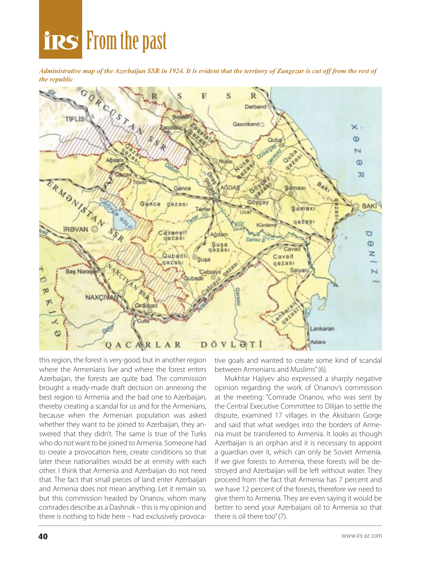### **From the past**

*Administrative map of the Azerbaijan SSR in 1924. It is evident that the territory of Zangezur is cut off from the rest of the republic*



this region, the forest is very good, but in another region where the Armenians live and where the forest enters Azerbaijan, the forests are quite bad. The commission brought a ready-made draft decision on annexing the best region to Armenia and the bad one to Azerbaijan, thereby creating a scandal for us and for the Armenians, because when the Armenian population was asked whether they want to be joined to Azerbaijan, they answered that they didn't. The same is true of the Turks who do not want to be joined to Armenia. Someone had to create a provocation here, create conditions so that later these nationalities would be at enmity with each other. I think that Armenia and Azerbaijan do not need that. The fact that small pieces of land enter Azerbaijan and Armenia does not mean anything. Let it remain so, but this commission headed by Onanov, whom many comrades describe as a Dashnak – this is my opinion and there is nothing to hide here – had exclusively provocative goals and wanted to create some kind of scandal between Armenians and Muslims" (6).

Mukhtar Hajiyev also expressed a sharply negative opinion regarding the work of Onanov's commission at the meeting: "Comrade Onanov, who was sent by the Central Executive Committee to Dilijan to settle the dispute, examined 17 villages in the Aksibarin Gorge and said that what wedges into the borders of Armenia must be transferred to Armenia. It looks as though Azerbaijan is an orphan and it is necessary to appoint a guardian over it, which can only be Soviet Armenia. If we give forests to Armenia, these forests will be destroyed and Azerbaijan will be left without water. They proceed from the fact that Armenia has 7 percent and we have 12 percent of the forests, therefore we need to give them to Armenia. They are even saying it would be better to send your Azerbaijani oil to Armenia so that there is oil there too" (7).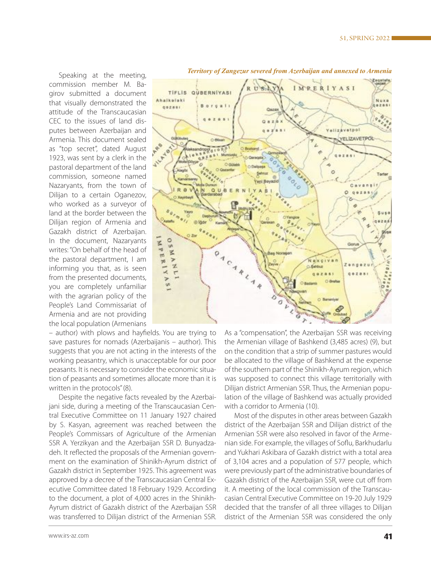Nuxa  $8788$ 

Speaking at the meeting, commission member M. Bagirov submitted a document that visually demonstrated the attitude of the Transcaucasian CEC to the issues of land disputes between Azerbaijan and Armenia. This document sealed as "top secret", dated August 1923, was sent by a clerk in the pastoral department of the land commission, someone named Nazaryants, from the town of Dilijan to a certain Oganezov, who worked as a surveyor of land at the border between the Dilijan region of Armenia and Gazakh district of Azerbaijan. In the document, Nazaryants writes: "On behalf of the head of the pastoral department, I am informing you that, as is seen from the presented documents, you are completely unfamiliar with the agrarian policy of the People's Land Commissariat of Armenia and are not providing the local population (Armenians

– author) with plows and hayfields. You are trying to save pastures for nomads (Azerbaijanis – author). This suggests that you are not acting in the interests of the working peasantry, which is unacceptable for our poor peasants. It is necessary to consider the economic situation of peasants and sometimes allocate more than it is written in the protocols" (8).

Despite the negative facts revealed by the Azerbaijani side, during a meeting of the Transcaucasian Central Executive Committee on 11 January 1927 chaired by S. Kasyan, agreement was reached between the People's Commissars of Agriculture of the Armenian SSR A. Yerzikyan and the Azerbaijan SSR D. Bunyadzadeh. It reflected the proposals of the Armenian government on the examination of Shinikh-Ayrum district of Gazakh district in September 1925. This agreement was approved by a decree of the Transcaucasian Central Executive Committee dated 18 February 1929. According to the document, a plot of 4,000 acres in the Shinikh-Ayrum district of Gazakh district of the Azerbaijan SSR was transferred to Dilijan district of the Armenian SSR.



#### *Territory of Zangezur severed from Azerbaijan and annexed to Armenia*

**IMPERIYASI** 

**Yellzavetpol** 

ö

**VELIZAVETPOL** 

Cavan

ö ø

RUSA)

Yeni Bay

 $A$  8

TIFLIS QUBERNIYASI

 $0.06$ 

 $0<sub>0i</sub>$ 

QUAER

Ahaikelaki

**GRZESI** 

 $\ddot{a}$ 

 $\circ$ 笠

 $\mathbf{v}$ z

 $\omega$ 

×

 $\mathbf{z}$ 

RRB A11 A 49

> Most of the disputes in other areas between Gazakh district of the Azerbaijan SSR and Dilijan district of the Armenian SSR were also resolved in favor of the Armenian side. For example, the villages of Soflu, Barkhudarlu and Yukhari Askibara of Gazakh district with a total area of 3,104 acres and a population of 577 people, which were previously part of the administrative boundaries of Gazakh district of the Azerbaijan SSR, were cut off from it. A meeting of the local commission of the Transcaucasian Central Executive Committee on 19-20 July 1929 decided that the transfer of all three villages to Dilijan district of the Armenian SSR was considered the only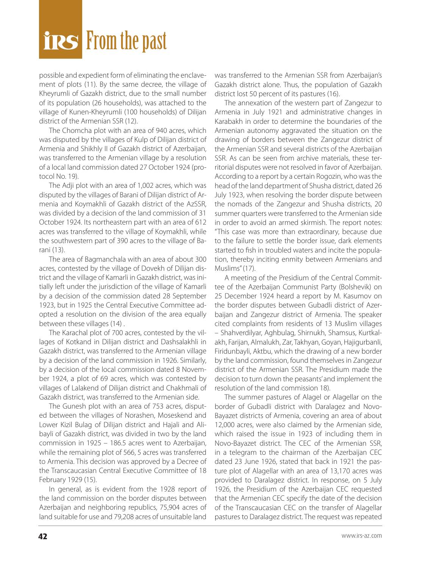# **From the past**

possible and expedient form of eliminating the enclavement of plots (11). By the same decree, the village of Kheyrumli of Gazakh district, due to the small number of its population (26 households), was attached to the village of Kunen-Kheyrumli (100 households) of Dilijan district of the Armenian SSR (12).

The Chomcha plot with an area of 940 acres, which was disputed by the villages of Kulp of Dilijan district of Armenia and Shikhly II of Gazakh district of Azerbaijan, was transferred to the Armenian village by a resolution of a local land commission dated 27 October 1924 (protocol No. 19).

The Adji plot with an area of 1,002 acres, which was disputed by the villages of Barani of Dilijan district of Armenia and Koymakhli of Gazakh district of the AzSSR, was divided by a decision of the land commission of 31 October 1924. Its northeastern part with an area of 612 acres was transferred to the village of Koymakhli, while the southwestern part of 390 acres to the village of Barani (13).

The area of Bagmanchala with an area of about 300 acres, contested by the village of Dovekh of Dilijan district and the village of Kamarli in Gazakh district, was initially left under the jurisdiction of the village of Kamarli by a decision of the commission dated 28 September 1923, but in 1925 the Central Executive Committee adopted a resolution on the division of the area equally between these villages (14) .

The Karachal plot of 700 acres, contested by the villages of Kotkand in Dilijan district and Dashsalakhli in Gazakh district, was transferred to the Armenian village by a decision of the land commission in 1926. Similarly, by a decision of the local commission dated 8 November 1924, a plot of 69 acres, which was contested by villages of Lalakend of Dilijan district and Chakhmali of Gazakh district, was transferred to the Armenian side.

The Gunesh plot with an area of 753 acres, disputed between the villages of Norashen, Moseskend and Lower Kizil Bulag of Dilijan district and Hajali and Alibayli of Gazakh district, was divided in two by the land commission in 1925 – 186.5 acres went to Azerbaijan, while the remaining plot of 566, 5 acres was transferred to Armenia. This decision was approved by a Decree of the Transcaucasian Central Executive Committee of 18 February 1929 (15).

In general, as is evident from the 1928 report of the land commission on the border disputes between Azerbaijan and neighboring republics, 75,904 acres of land suitable for use and 79,208 acres of unsuitable land

was transferred to the Armenian SSR from Azerbaijan's Gazakh district alone. Thus, the population of Gazakh district lost 50 percent of its pastures (16).

The annexation of the western part of Zangezur to Armenia in July 1921 and administrative changes in Karabakh in order to determine the boundaries of the Armenian autonomy aggravated the situation on the drawing of borders between the Zangezur district of the Armenian SSR and several districts of the Azerbaijan SSR. As can be seen from archive materials, these territorial disputes were not resolved in favor of Azerbaijan. According to a report by a certain Rogozin, who was the head of the land department of Shusha district, dated 26 July 1923, when resolving the border dispute between the nomads of the Zangezur and Shusha districts, 20 summer quarters were transferred to the Armenian side in order to avoid an armed skirmish. The report notes: "This case was more than extraordinary, because due to the failure to settle the border issue, dark elements started to fish in troubled waters and incite the population, thereby inciting enmity between Armenians and Muslims" (17).

A meeting of the Presidium of the Central Committee of the Azerbaijan Communist Party (Bolshevik) on 25 December 1924 heard a report by M. Kasumov on the border disputes between Gubadli district of Azerbaijan and Zangezur district of Armenia. The speaker cited complaints from residents of 13 Muslim villages – Shahverdilyar, Aghbulag, Shirnukh, Shamsus, Kurtkalakh, Farijan, Almalukh, Zar, Takhyan, Goyan, Hajigurbanli, Firidunbayli, Aktbu, which the drawing of a new border by the land commission, found themselves in Zangezur district of the Armenian SSR. The Presidium made the decision to turn down the peasants' and implement the resolution of the land commission 18).

The summer pastures of Alagel or Alagellar on the border of Gubadli district with Daralagez and Novo-Bayazet districts of Armenia, covering an area of about 12,000 acres, were also claimed by the Armenian side, which raised the issue in 1923 of including them in Novo-Bayazet district. The CEC of the Armenian SSR, in a telegram to the chairman of the Azerbaijan CEC dated 23 June 1926, stated that back in 1921 the pasture plot of Alagellar with an area of 13,170 acres was provided to Daralagez district. In response, on 5 July 1926, the Presidium of the Azerbaijan CEC requested that the Armenian CEC specify the date of the decision of the Transcaucasian CEC on the transfer of Alagellar pastures to Daralagez district. The request was repeated